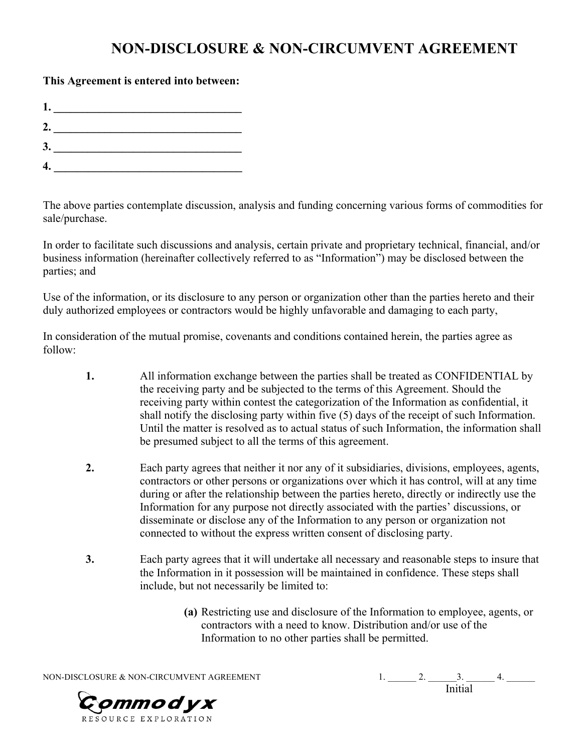## **NON-DISCLOSURE & NON-CIRCUMVENT AGREEMENT**

## **This Agreement is entered into between:**

| -1. |  |  |
|-----|--|--|
| 2.  |  |  |
| 3.  |  |  |

**4. \_\_\_\_\_\_\_\_\_\_\_\_\_\_\_\_\_\_\_\_\_\_\_\_\_\_\_\_\_\_\_\_\_** 

The above parties contemplate discussion, analysis and funding concerning various forms of commodities for sale/purchase.

In order to facilitate such discussions and analysis, certain private and proprietary technical, financial, and/or business information (hereinafter collectively referred to as "Information") may be disclosed between the parties; and

Use of the information, or its disclosure to any person or organization other than the parties hereto and their duly authorized employees or contractors would be highly unfavorable and damaging to each party,

In consideration of the mutual promise, covenants and conditions contained herein, the parties agree as follow:

- **1.** All information exchange between the parties shall be treated as CONFIDENTIAL by the receiving party and be subjected to the terms of this Agreement. Should the receiving party within contest the categorization of the Information as confidential, it shall notify the disclosing party within five (5) days of the receipt of such Information. Until the matter is resolved as to actual status of such Information, the information shall be presumed subject to all the terms of this agreement.
- **2.** Each party agrees that neither it nor any of it subsidiaries, divisions, employees, agents, contractors or other persons or organizations over which it has control, will at any time during or after the relationship between the parties hereto, directly or indirectly use the Information for any purpose not directly associated with the parties' discussions, or disseminate or disclose any of the Information to any person or organization not connected to without the express written consent of disclosing party.
- **3.** Each party agrees that it will undertake all necessary and reasonable steps to insure that the Information in it possession will be maintained in confidence. These steps shall include, but not necessarily be limited to:
	- **(a)** Restricting use and disclosure of the Information to employee, agents, or contractors with a need to know. Distribution and/or use of the Information to no other parties shall be permitted.

NON-DISCLOSURE & NON-CIRCUMVENT AGREEMENT  $1.$   $2.$   $3.$   $4.$ 

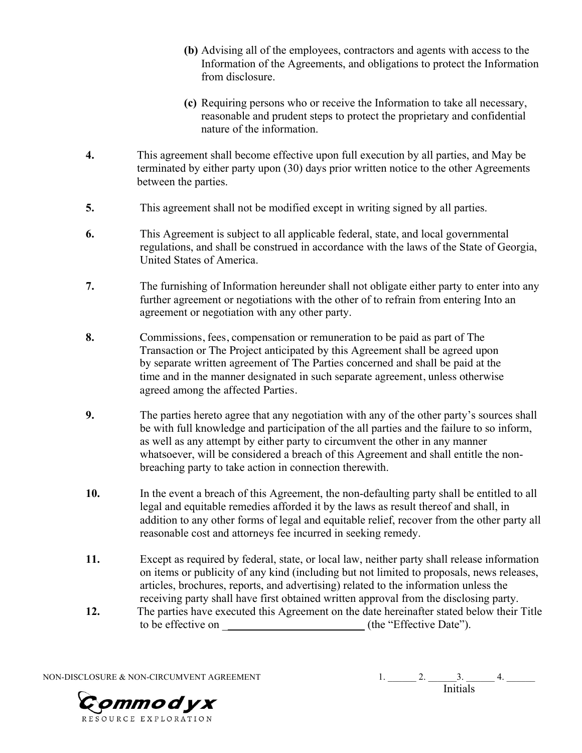- **(b)** Advising all of the employees, contractors and agents with access to the Information of the Agreements, and obligations to protect the Information from disclosure.
- **(c)** Requiring persons who or receive the Information to take all necessary, reasonable and prudent steps to protect the proprietary and confidential nature of the information.
- **4.** This agreement shall become effective upon full execution by all parties, and May be terminated by either party upon (30) days prior written notice to the other Agreements between the parties.
- **5.** This agreement shall not be modified except in writing signed by all parties.
- **6.** This Agreement is subject to all applicable federal, state, and local governmental regulations, and shall be construed in accordance with the laws of the State of Georgia, United States of America.
- **7.** The furnishing of Information hereunder shall not obligate either party to enter into any further agreement or negotiations with the other of to refrain from entering Into an agreement or negotiation with any other party.
- **8.** Commissions, fees, compensation or remuneration to be paid as part of The Transaction or The Project anticipated by this Agreement shall be agreed upon by separate written agreement of The Parties concerned and shall be paid at the time and in the manner designated in such separate agreement, unless otherwise agreed among the affected Parties.
- **9.** The parties hereto agree that any negotiation with any of the other party's sources shall be with full knowledge and participation of the all parties and the failure to so inform, as well as any attempt by either party to circumvent the other in any manner whatsoever, will be considered a breach of this Agreement and shall entitle the nonbreaching party to take action in connection therewith.
- **10.** In the event a breach of this Agreement, the non-defaulting party shall be entitled to all legal and equitable remedies afforded it by the laws as result thereof and shall, in addition to any other forms of legal and equitable relief, recover from the other party all reasonable cost and attorneys fee incurred in seeking remedy.
- **11.** Except as required by federal, state, or local law, neither party shall release information on items or publicity of any kind (including but not limited to proposals, news releases, articles, brochures, reports, and advertising) related to the information unless the receiving party shall have first obtained written approval from the disclosing party.
- **12.** The parties have executed this Agreement on the date hereinafter stated below their Title to be effective on \_**\_\_\_\_\_\_\_\_\_\_\_\_\_\_\_\_\_\_\_\_\_\_\_\_** (the "Effective Date").

NON-DISCLOSURE & NON-CIRCUMVENT AGREEMENT